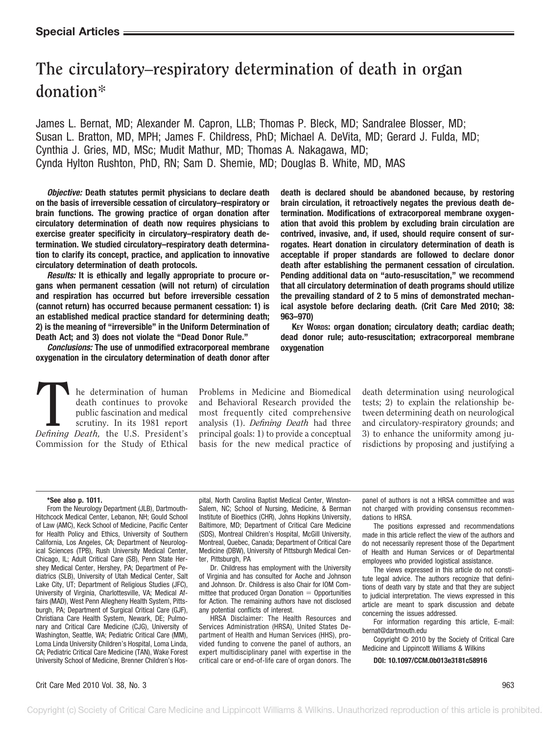# **The circulatory–respiratory determination of death in organ donation\***

James L. Bernat, MD; Alexander M. Capron, LLB; Thomas P. Bleck, MD; Sandralee Blosser, MD; Susan L. Bratton, MD, MPH; James F. Childress, PhD; Michael A. DeVita, MD; Gerard J. Fulda, MD; Cynthia J. Gries, MD, MSc; Mudit Mathur, MD; Thomas A. Nakagawa, MD; Cynda Hylton Rushton, PhD, RN; Sam D. Shemie, MD; Douglas B. White, MD, MAS

*Objective:* **Death statutes permit physicians to declare death on the basis of irreversible cessation of circulatory–respiratory or brain functions. The growing practice of organ donation after circulatory determination of death now requires physicians to exercise greater specificity in circulatory–respiratory death determination. We studied circulatory–respiratory death determination to clarify its concept, practice, and application to innovative circulatory determination of death protocols.**

*Results:* **It is ethically and legally appropriate to procure organs when permanent cessation (will not return) of circulation and respiration has occurred but before irreversible cessation (cannot return) has occurred because permanent cessation: 1) is an established medical practice standard for determining death; 2) is the meaning of "irreversible" in the Uniform Determination of Death Act; and 3) does not violate the "Dead Donor Rule."**

*Conclusions:* **The use of unmodified extracorporeal membrane oxygenation in the circulatory determination of death donor after**

**The determination of human**<br>death continues to provoke<br>public fascination and medical<br>scrutiny. In its 1981 report<br>*Defining Death*, the U.S. President's death continues to provoke public fascination and medical scrutiny. In its 1981 report Commission for the Study of Ethical

Problems in Medicine and Biomedical and Behavioral Research provided the most frequently cited comprehensive analysis (1). *Defining Death* had three principal goals: 1) to provide a conceptual basis for the new medical practice of

**death is declared should be abandoned because, by restoring brain circulation, it retroactively negates the previous death determination. Modifications of extracorporeal membrane oxygenation that avoid this problem by excluding brain circulation are contrived, invasive, and, if used, should require consent of surrogates. Heart donation in circulatory determination of death is acceptable if proper standards are followed to declare donor death after establishing the permanent cessation of circulation. Pending additional data on "auto-resuscitation," we recommend that all circulatory determination of death programs should utilize the prevailing standard of 2 to 5 mins of demonstrated mechanical asystole before declaring death. (Crit Care Med 2010; 38: 963–970)**

**KEY WORDS: organ donation; circulatory death; cardiac death; dead donor rule; auto-resuscitation; extracorporeal membrane oxygenation**

> death determination using neurological tests; 2) to explain the relationship between determining death on neurological and circulatory-respiratory grounds; and 3) to enhance the uniformity among jurisdictions by proposing and justifying a

#### **\*See also p. 1011.**

From the Neurology Department (JLB), Dartmouth-Hitchcock Medical Center, Lebanon, NH; Gould School of Law (AMC), Keck School of Medicine, Pacific Center for Health Policy and Ethics, University of Southern California, Los Angeles, CA; Department of Neurological Sciences (TPB), Rush University Medical Center, Chicago, IL; Adult Critical Care (SB), Penn State Hershey Medical Center, Hershey, PA; Department of Pediatrics (SLB), University of Utah Medical Center, Salt Lake City, UT; Department of Religious Studies (JFC), University of Virginia, Charlottesville, VA; Medical Affairs (MAD), West Penn Allegheny Health System, Pittsburgh, PA; Department of Surgical Critical Care (GJF), Christiana Care Health System, Newark, DE; Pulmonary and Critical Care Medicine (CJG), University of Washington, Seattle, WA; Pediatric Critical Care (MM), Loma Linda University Children's Hospital, Loma Linda, CA; Pediatric Critical Care Medicine (TAN), Wake Forest University School of Medicine, Brenner Children's Hos-

pital, North Carolina Baptist Medical Center, Winston-Salem, NC; School of Nursing, Medicine, & Berman Institute of Bioethics (CHR), Johns Hopkins University, Baltimore, MD; Department of Critical Care Medicine (SDS), Montreal Children's Hospital, McGill University, Montreal, Quebec, Canada; Department of Critical Care Medicine (DBW), University of Pittsburgh Medical Center, Pittsburgh, PA

Dr. Childress has employment with the University of Virginia and has consulted for Aoche and Johnson and Johnson. Dr. Childress is also Chair for IOM Committee that produced Organ Donation  $=$  Opportunities for Action. The remaining authors have not disclosed any potential conflicts of interest.

HRSA Disclaimer: The Health Resources and Services Administration (HRSA), United States Department of Health and Human Services (HHS), provided funding to convene the panel of authors, an expert multidisciplinary panel with expertise in the critical care or end-of-life care of organ donors. The panel of authors is not a HRSA committee and was not charged with providing consensus recommendations to HRSA.

The positions expressed and recommendations made in this article reflect the view of the authors and do not necessarily represent those of the Department of Health and Human Services or of Departmental employees who provided logistical assistance.

The views expressed in this article do not constitute legal advice. The authors recognize that definitions of death vary by state and that they are subject to judicial interpretation. The views expressed in this article are meant to spark discussion and debate concerning the issues addressed.

For information regarding this article, E-mail: bernat@dartmouth.edu

Copyright © 2010 by the Society of Critical Care Medicine and Lippincott Williams & Wilkins

**DOI: 10.1097/CCM.0b013e3181c58916**

Crit Care Med 2010 Vol. 38, No. 3 963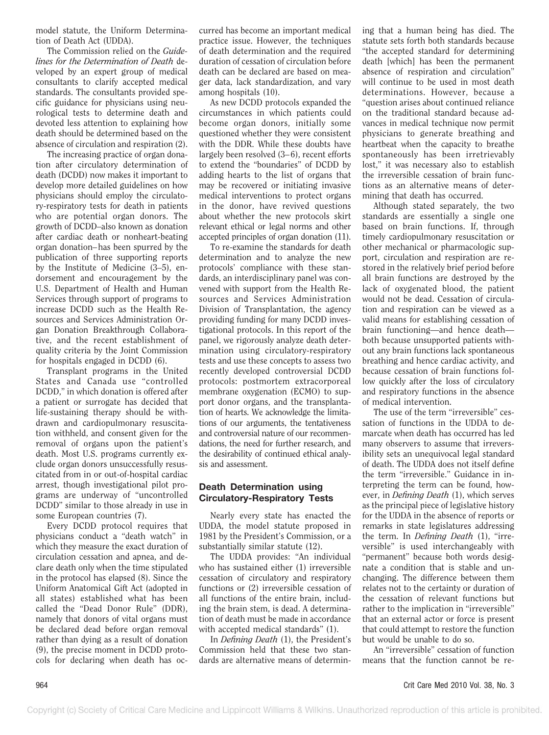model statute, the Uniform Determination of Death Act (UDDA).

The Commission relied on the *Guidelines for the Determination of Death* developed by an expert group of medical consultants to clarify accepted medical standards. The consultants provided specific guidance for physicians using neurological tests to determine death and devoted less attention to explaining how death should be determined based on the absence of circulation and respiration (2).

The increasing practice of organ donation after circulatory determination of death (DCDD) now makes it important to develop more detailed guidelines on how physicians should employ the circulatory-respiratory tests for death in patients who are potential organ donors. The growth of DCDD–also known as donation after cardiac death or nonheart-beating organ donation–has been spurred by the publication of three supporting reports by the Institute of Medicine (3–5), endorsement and encouragement by the U.S. Department of Health and Human Services through support of programs to increase DCDD such as the Health Resources and Services Administration Organ Donation Breakthrough Collaborative, and the recent establishment of quality criteria by the Joint Commission for hospitals engaged in DCDD (6).

Transplant programs in the United States and Canada use "controlled DCDD," in which donation is offered after a patient or surrogate has decided that life-sustaining therapy should be withdrawn and cardiopulmonary resuscitation withheld, and consent given for the removal of organs upon the patient's death. Most U.S. programs currently exclude organ donors unsuccessfully resuscitated from in or out-of-hospital cardiac arrest, though investigational pilot programs are underway of "uncontrolled DCDD" similar to those already in use in some European countries (7).

Every DCDD protocol requires that physicians conduct a "death watch" in which they measure the exact duration of circulation cessation and apnea, and declare death only when the time stipulated in the protocol has elapsed (8). Since the Uniform Anatomical Gift Act (adopted in all states) established what has been called the "Dead Donor Rule" (DDR), namely that donors of vital organs must be declared dead before organ removal rather than dying as a result of donation (9), the precise moment in DCDD protocols for declaring when death has oc-

curred has become an important medical practice issue. However, the techniques of death determination and the required duration of cessation of circulation before death can be declared are based on meager data, lack standardization, and vary among hospitals (10).

As new DCDD protocols expanded the circumstances in which patients could become organ donors, initially some questioned whether they were consistent with the DDR. While these doubts have largely been resolved (3–6), recent efforts to extend the "boundaries" of DCDD by adding hearts to the list of organs that may be recovered or initiating invasive medical interventions to protect organs in the donor, have revived questions about whether the new protocols skirt relevant ethical or legal norms and other accepted principles of organ donation (11).

To re-examine the standards for death determination and to analyze the new protocols' compliance with these standards, an interdisciplinary panel was convened with support from the Health Resources and Services Administration Division of Transplantation, the agency providing funding for many DCDD investigational protocols. In this report of the panel, we rigorously analyze death determination using circulatory-respiratory tests and use these concepts to assess two recently developed controversial DCDD protocols: postmortem extracorporeal membrane oxygenation (ECMO) to support donor organs, and the transplantation of hearts. We acknowledge the limitations of our arguments, the tentativeness and controversial nature of our recommendations, the need for further research, and the desirability of continued ethical analysis and assessment.

# **Death Determination using Circulatory-Respiratory Tests**

Nearly every state has enacted the UDDA, the model statute proposed in 1981 by the President's Commission, or a substantially similar statute (12).

The UDDA provides: "An individual who has sustained either (1) irreversible cessation of circulatory and respiratory functions or (2) irreversible cessation of all functions of the entire brain, including the brain stem, is dead. A determination of death must be made in accordance with accepted medical standards" (1).

In *Defining Death* (1), the President's Commission held that these two standards are alternative means of determining that a human being has died. The statute sets forth both standards because "the accepted standard for determining death [which] has been the permanent absence of respiration and circulation" will continue to be used in most death determinations. However, because a "question arises about continued reliance on the traditional standard because advances in medical technique now permit physicians to generate breathing and heartbeat when the capacity to breathe spontaneously has been irretrievably lost," it was necessary also to establish the irreversible cessation of brain functions as an alternative means of determining that death has occurred.

Although stated separately, the two standards are essentially a single one based on brain functions. If, through timely cardiopulmonary resuscitation or other mechanical or pharmacologic support, circulation and respiration are restored in the relatively brief period before all brain functions are destroyed by the lack of oxygenated blood, the patient would not be dead. Cessation of circulation and respiration can be viewed as a valid means for establishing cessation of brain functioning—and hence death both because unsupported patients without any brain functions lack spontaneous breathing and hence cardiac activity, and because cessation of brain functions follow quickly after the loss of circulatory and respiratory functions in the absence of medical intervention.

The use of the term "irreversible" cessation of functions in the UDDA to demarcate when death has occurred has led many observers to assume that irreversibility sets an unequivocal legal standard of death. The UDDA does not itself define the term "irreversible." Guidance in interpreting the term can be found, however, in *Defining Death* (1), which serves as the principal piece of legislative history for the UDDA in the absence of reports or remarks in state legislatures addressing the term. In *Defining Death* (1), "irreversible" is used interchangeably with "permanent" because both words designate a condition that is stable and unchanging. The difference between them relates not to the certainty or duration of the cessation of relevant functions but rather to the implication in "irreversible" that an external actor or force is present that could attempt to restore the function but would be unable to do so.

An "irreversible" cessation of function means that the function cannot be re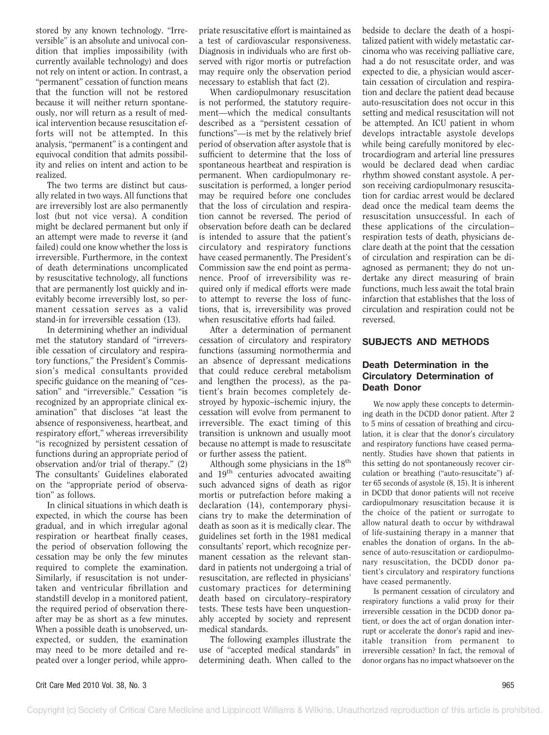stored by any known technology. "Irreversible" is an absolute and univocal condition that implies impossibility (with currently available technology) and does not rely on intent or action. In contrast, a "permanent" cessation of function means that the function will not be restored because it will neither return spontaneously, nor will return as a result of medical intervention because resuscitation efforts will not be attempted. In this analysis, "permanent" is a contingent and equivocal condition that admits possibility and relies on intent and action to be realized.

The two terms are distinct but causally related in two ways. All functions that are irreversibly lost are also permanently lost (but not vice versa). A condition might be declared permanent but only if an attempt were made to reverse it (and failed) could one know whether the loss is irreversible. Furthermore, in the context of death determinations uncomplicated by resuscitative technology, all functions that are permanently lost quickly and inevitably become irreversibly lost, so permanent cessation serves as a valid stand-in for irreversible cessation (13).

In determining whether an individual met the statutory standard of "irreversible cessation of circulatory and respiratory functions," the President's Commission's medical consultants provided specific guidance on the meaning of "cessation" and "irreversible." Cessation "is recognized by an appropriate clinical examination" that discloses "at least the absence of responsiveness, heartbeat, and respiratory effort," whereas irreversibility "is recognized by persistent cessation of functions during an appropriate period of observation and/or trial of therapy." (2) The consultants' Guidelines elaborated on the "appropriate period of observation" as follows.

In clinical situations in which death is expected, in which the course has been gradual, and in which irregular agonal respiration or heartbeat finally ceases, the period of observation following the cessation may be only the few minutes required to complete the examination. Similarly, if resuscitation is not undertaken and ventricular fibrillation and standstill develop in a monitored patient, the required period of observation thereafter may be as short as a few minutes. When a possible death is unobserved, unexpected, or sudden, the examination may need to be more detailed and repeated over a longer period, while appro-

priate resuscitative effort is maintained as a test of cardiovascular responsiveness. Diagnosis in individuals who are first observed with rigor mortis or putrefaction may require only the observation period necessary to establish that fact (2).

When cardiopulmonary resuscitation is not performed, the statutory requirement—which the medical consultants described as a "persistent cessation of functions"—is met by the relatively brief period of observation after asystole that is sufficient to determine that the loss of spontaneous heartbeat and respiration is permanent. When cardiopulmonary resuscitation is performed, a longer period may be required before one concludes that the loss of circulation and respiration cannot be reversed. The period of observation before death can be declared is intended to assure that the patient's circulatory and respiratory functions have ceased permanently. The President's Commission saw the end point as permanence. Proof of irreversibility was required only if medical efforts were made to attempt to reverse the loss of functions, that is, irreversibility was proved when resuscitative efforts had failed.

After a determination of permanent cessation of circulatory and respiratory functions (assuming normothermia and an absence of depressant medications that could reduce cerebral metabolism and lengthen the process), as the patient's brain becomes completely destroyed by hypoxic–ischemic injury, the cessation will evolve from permanent to irreversible. The exact timing of this transition is unknown and usually moot because no attempt is made to resuscitate or further assess the patient.

Although some physicians in the 18<sup>th</sup> and 19th centuries advocated awaiting such advanced signs of death as rigor mortis or putrefaction before making a declaration (14), contemporary physicians try to make the determination of death as soon as it is medically clear. The guidelines set forth in the 1981 medical consultants' report, which recognize permanent cessation as the relevant standard in patients not undergoing a trial of resuscitation, are reflected in physicians' customary practices for determining death based on circulatory–respiratory tests. These tests have been unquestionably accepted by society and represent medical standards.

The following examples illustrate the use of "accepted medical standards" in determining death. When called to the bedside to declare the death of a hospitalized patient with widely metastatic carcinoma who was receiving palliative care, had a do not resuscitate order, and was expected to die, a physician would ascertain cessation of circulation and respiration and declare the patient dead because auto-resuscitation does not occur in this setting and medical resuscitation will not be attempted. An ICU patient in whom develops intractable asystole develops while being carefully monitored by electrocardiogram and arterial line pressures would be declared dead when cardiac rhythm showed constant asystole. A person receiving cardiopulmonary resuscitation for cardiac arrest would be declared dead once the medical team deems the resuscitation unsuccessful. In each of these applications of the circulation– respiration tests of death, physicians declare death at the point that the cessation of circulation and respiration can be diagnosed as permanent; they do not undertake any direct measuring of brain functions, much less await the total brain infarction that establishes that the loss of circulation and respiration could not be reversed.

## **SUBJECTS AND METHODS**

# **Death Determination in the Circulatory Determination of Death Donor**

We now apply these concepts to determining death in the DCDD donor patient. After 2 to 5 mins of cessation of breathing and circulation, it is clear that the donor's circulatory and respiratory functions have ceased permanently. Studies have shown that patients in this setting do not spontaneously recover circulation or breathing ("auto-resuscitate") after 65 seconds of asystole (8, 15). It is inherent in DCDD that donor patients will not receive cardiopulmonary resuscitation because it is the choice of the patient or surrogate to allow natural death to occur by withdrawal of life-sustaining therapy in a manner that enables the donation of organs. In the absence of auto-resuscitation or cardiopulmonary resuscitation, the DCDD donor patient's circulatory and respiratory functions have ceased permanently.

Is permanent cessation of circulatory and respiratory functions a valid proxy for their irreversible cessation in the DCDD donor patient, or does the act of organ donation interrupt or accelerate the donor's rapid and inevitable transition from permanent to irreversible cessation? In fact, the removal of donor organs has no impact whatsoever on the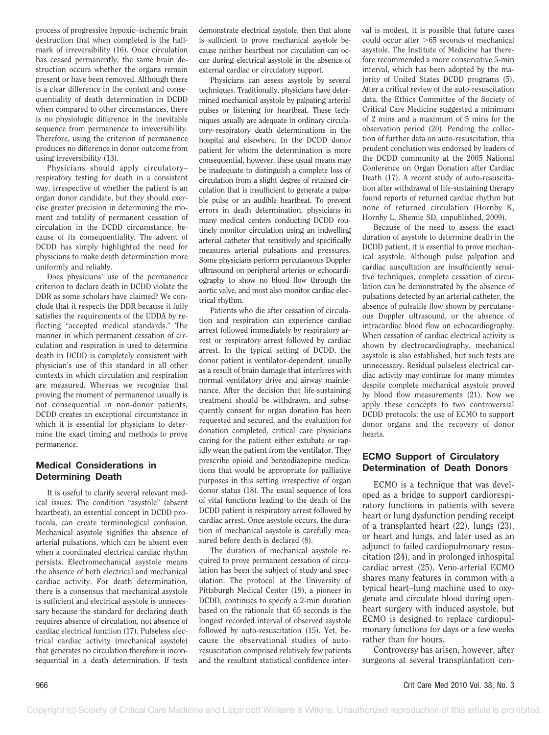process of progressive hypoxic–ischemic brain destruction that when completed is the hallmark of irreversibility (16). Once circulation has ceased permanently, the same brain destruction occurs whether the organs remain present or have been removed. Although there is a clear difference in the context and consequentiality of death determination in DCDD when compared to other circumstances, there is no physiologic difference in the inevitable sequence from permanence to irreversibility. Therefore, using the criterion of permanence produces no difference in donor outcome from using irreversibility (13).

Physicians should apply circulatory– respiratory testing for death in a consistent way, irrespective of whether the patient is an organ donor candidate, but they should exercise greater precision in determining the moment and totality of permanent cessation of circulation in the DCDD circumstance, because of its consequentiality. The advent of DCDD has simply highlighted the need for physicians to make death determination more uniformly and reliably.

Does physicians' use of the permanence criterion to declare death in DCDD violate the DDR as some scholars have claimed? We conclude that it respects the DDR because it fully satisfies the requirements of the UDDA by reflecting "accepted medical standards." The manner in which permanent cessation of circulation and respiration is used to determine death in DCDD is completely consistent with physician's use of this standard in all other contexts in which circulation and respiration are measured. Whereas we recognize that proving the moment of permanence usually is not consequential in non-donor patients, DCDD creates an exceptional circumstance in which it is essential for physicians to determine the exact timing and methods to prove permanence.

#### **Medical Considerations in Determining Death**

It is useful to clarify several relevant medical issues. The condition "asystole" (absent heartbeat), an essential concept in DCDD protocols, can create terminological confusion. Mechanical asystole signifies the absence of arterial pulsations, which can be absent even when a coordinated electrical cardiac rhythm persists. Electromechanical asystole means the absence of both electrical and mechanical cardiac activity. For death determination, there is a consensus that mechanical asystole is sufficient and electrical asystole is unnecessary because the standard for declaring death requires absence of circulation, not absence of cardiac electrical function (17). Pulseless electrical cardiac activity (mechanical asystole) that generates no circulation therefore is inconsequential in a death determination. If tests demonstrate electrical asystole, then that alone is sufficient to prove mechanical asystole because neither heartbeat nor circulation can occur during electrical asystole in the absence of external cardiac or circulatory support.

Physicians can assess asystole by several techniques. Traditionally, physicians have determined mechanical asystole by palpating arterial pulses or listening for heartbeat. These techniques usually are adequate in ordinary circulatory–respiratory death determinations in the hospital and elsewhere. In the DCDD donor patient for whom the determination is more consequential, however, these usual means may be inadequate to distinguish a complete loss of circulation from a slight degree of retained circulation that is insufficient to generate a palpable pulse or an audible heartbeat. To prevent errors in death determination, physicians in many medical centers conducting DCDD routinely monitor circulation using an indwelling arterial catheter that sensitively and specifically measures arterial pulsations and pressures. Some physicians perform percutaneous Doppler ultrasound on peripheral arteries or echocardiography to show no blood flow through the aortic valve, and most also monitor cardiac electrical rhythm.

Patients who die after cessation of circulation and respiration can experience cardiac arrest followed immediately by respiratory arrest or respiratory arrest followed by cardiac arrest. In the typical setting of DCDD, the donor patient is ventilator-dependent, usually as a result of brain damage that interferes with normal ventilatory drive and airway maintenance. After the decision that life-sustaining treatment should be withdrawn, and subsequently consent for organ donation has been requested and secured, and the evaluation for donation completed, critical care physicians caring for the patient either extubate or rapidly wean the patient from the ventilator. They prescribe opioid and benzodiazepine medications that would be appropriate for palliative purposes in this setting irrespective of organ donor status (18). The usual sequence of loss of vital functions leading to the death of the DCDD patient is respiratory arrest followed by cardiac arrest. Once asystole occurs, the duration of mechanical asystole is carefully measured before death is declared (8).

The duration of mechanical asystole required to prove permanent cessation of circulation has been the subject of study and speculation. The protocol at the University of Pittsburgh Medical Center (19), a pioneer in DCDD, continues to specify a 2-min duration based on the rationale that 65 seconds is the longest recorded interval of observed asystole followed by auto-resuscitation (15). Yet, because the observational studies of autoresuscitation comprised relatively few patients and the resultant statistical confidence inter-

val is modest, it is possible that future cases could occur after -65 seconds of mechanical asystole. The Institute of Medicine has therefore recommended a more conservative 5-min interval, which has been adopted by the majority of United States DCDD programs (5). After a critical review of the auto-resuscitation data, the Ethics Committee of the Society of Critical Care Medicine suggested a minimum of 2 mins and a maximum of 5 mins for the observation period (20). Pending the collection of further data on auto-resuscitation, this prudent conclusion was endorsed by leaders of the DCDD community at the 2005 National Conference on Organ Donation after Cardiac Death (17). A recent study of auto-resuscitation after withdrawal of life-sustaining therapy found reports of returned cardiac rhythm but none of returned circulation (Hornby K, Hornby L, Shemie SD, unpublished, 2009).

Because of the need to assess the exact duration of asystole to determine death in the DCDD patient, it is essential to prove mechanical asystole. Although pulse palpation and cardiac auscultation are insufficiently sensitive techniques, complete cessation of circulation can be demonstrated by the absence of pulsations detected by an arterial catheter, the absence of pulsatile flow shown by percutaneous Doppler ultrasound, or the absence of intracardiac blood flow on echocardiography. When cessation of cardiac electrical activity is shown by electrocardiography, mechanical asystole is also established, but such tests are unnecessary. Residual pulseless electrical cardiac activity may continue for many minutes despite complete mechanical asystole proved by blood flow measurements (21). Now we apply these concepts to two controversial DCDD protocols: the use of ECMO to support donor organs and the recovery of donor hearts.

## **ECMO Support of Circulatory Determination of Death Donors**

ECMO is a technique that was developed as a bridge to support cardiorespiratory functions in patients with severe heart or lung dysfunction pending receipt of a transplanted heart (22), lungs (23), or heart and lungs, and later used as an adjunct to failed cardiopulmonary resuscitation (24), and in prolonged inhospital cardiac arrest (25). Veno-arterial ECMO shares many features in common with a typical heart–lung machine used to oxygenate and circulate blood during openheart surgery with induced asystole, but ECMO is designed to replace cardiopulmonary functions for days or a few weeks rather than for hours.

Controversy has arisen, however, after surgeons at several transplantation cen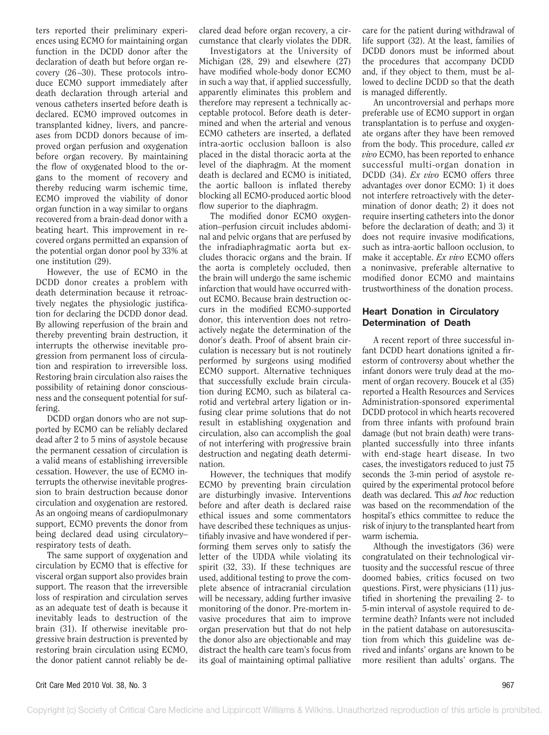ters reported their preliminary experiences using ECMO for maintaining organ function in the DCDD donor after the declaration of death but before organ recovery (26–30). These protocols introduce ECMO support immediately after death declaration through arterial and venous catheters inserted before death is declared. ECMO improved outcomes in transplanted kidney, livers, and pancreases from DCDD donors because of improved organ perfusion and oxygenation before organ recovery. By maintaining the flow of oxygenated blood to the organs to the moment of recovery and thereby reducing warm ischemic time, ECMO improved the viability of donor organ function in a way similar to organs recovered from a brain-dead donor with a beating heart. This improvement in recovered organs permitted an expansion of the potential organ donor pool by 33% at one institution (29).

However, the use of ECMO in the DCDD donor creates a problem with death determination because it retroactively negates the physiologic justification for declaring the DCDD donor dead. By allowing reperfusion of the brain and thereby preventing brain destruction, it interrupts the otherwise inevitable progression from permanent loss of circulation and respiration to irreversible loss. Restoring brain circulation also raises the possibility of retaining donor consciousness and the consequent potential for suffering.

DCDD organ donors who are not supported by ECMO can be reliably declared dead after 2 to 5 mins of asystole because the permanent cessation of circulation is a valid means of establishing irreversible cessation. However, the use of ECMO interrupts the otherwise inevitable progression to brain destruction because donor circulation and oxygenation are restored. As an ongoing means of cardiopulmonary support, ECMO prevents the donor from being declared dead using circulatory– respiratory tests of death.

The same support of oxygenation and circulation by ECMO that is effective for visceral organ support also provides brain support. The reason that the irreversible loss of respiration and circulation serves as an adequate test of death is because it inevitably leads to destruction of the brain (31). If otherwise inevitable progressive brain destruction is prevented by restoring brain circulation using ECMO, the donor patient cannot reliably be declared dead before organ recovery, a circumstance that clearly violates the DDR.

Investigators at the University of Michigan (28, 29) and elsewhere (27) have modified whole-body donor ECMO in such a way that, if applied successfully, apparently eliminates this problem and therefore may represent a technically acceptable protocol. Before death is determined and when the arterial and venous ECMO catheters are inserted, a deflated intra-aortic occlusion balloon is also placed in the distal thoracic aorta at the level of the diaphragm. At the moment death is declared and ECMO is initiated, the aortic balloon is inflated thereby blocking all ECMO-produced aortic blood flow superior to the diaphragm.

The modified donor ECMO oxygenation–perfusion circuit includes abdominal and pelvic organs that are perfused by the infradiaphragmatic aorta but excludes thoracic organs and the brain. If the aorta is completely occluded, then the brain will undergo the same ischemic infarction that would have occurred without ECMO. Because brain destruction occurs in the modified ECMO-supported donor, this intervention does not retroactively negate the determination of the donor's death. Proof of absent brain circulation is necessary but is not routinely performed by surgeons using modified ECMO support. Alternative techniques that successfully exclude brain circulation during ECMO, such as bilateral carotid and vertebral artery ligation or infusing clear prime solutions that do not result in establishing oxygenation and circulation, also can accomplish the goal of not interfering with progressive brain destruction and negating death determination.

However, the techniques that modify ECMO by preventing brain circulation are disturbingly invasive. Interventions before and after death is declared raise ethical issues and some commentators have described these techniques as unjustifiably invasive and have wondered if performing them serves only to satisfy the letter of the UDDA while violating its spirit (32, 33). If these techniques are used, additional testing to prove the complete absence of intracranial circulation will be necessary, adding further invasive monitoring of the donor. Pre-mortem invasive procedures that aim to improve organ preservation but that do not help the donor also are objectionable and may distract the health care team's focus from its goal of maintaining optimal palliative

care for the patient during withdrawal of life support (32). At the least, families of DCDD donors must be informed about the procedures that accompany DCDD and, if they object to them, must be allowed to decline DCDD so that the death is managed differently.

An uncontroversial and perhaps more preferable use of ECMO support in organ transplantation is to perfuse and oxygenate organs after they have been removed from the body. This procedure, called *ex vivo* ECMO, has been reported to enhance successful multi-organ donation in DCDD (34). *Ex vivo* ECMO offers three advantages over donor ECMO: 1) it does not interfere retroactively with the determination of donor death; 2) it does not require inserting catheters into the donor before the declaration of death; and 3) it does not require invasive modifications, such as intra-aortic balloon occlusion, to make it acceptable. *Ex vivo* ECMO offers a noninvasive, preferable alternative to modified donor ECMO and maintains trustworthiness of the donation process.

# **Heart Donation in Circulatory Determination of Death**

A recent report of three successful infant DCDD heart donations ignited a firestorm of controversy about whether the infant donors were truly dead at the moment of organ recovery. Boucek et al (35) reported a Health Resources and Services Administration-sponsored experimental DCDD protocol in which hearts recovered from three infants with profound brain damage (but not brain death) were transplanted successfully into three infants with end-stage heart disease. In two cases, the investigators reduced to just 75 seconds the 3-min period of asystole required by the experimental protocol before death was declared. This *ad hoc* reduction was based on the recommendation of the hospital's ethics committee to reduce the risk of injury to the transplanted heart from warm ischemia.

Although the investigators (36) were congratulated on their technological virtuosity and the successful rescue of three doomed babies, critics focused on two questions. First, were physicians (11) justified in shortening the prevailing 2- to 5-min interval of asystole required to determine death? Infants were not included in the patient database on autoresuscitation from which this guideline was derived and infants' organs are known to be more resilient than adults' organs. The

Crit Care Med 2010 Vol. 38, No. 3 967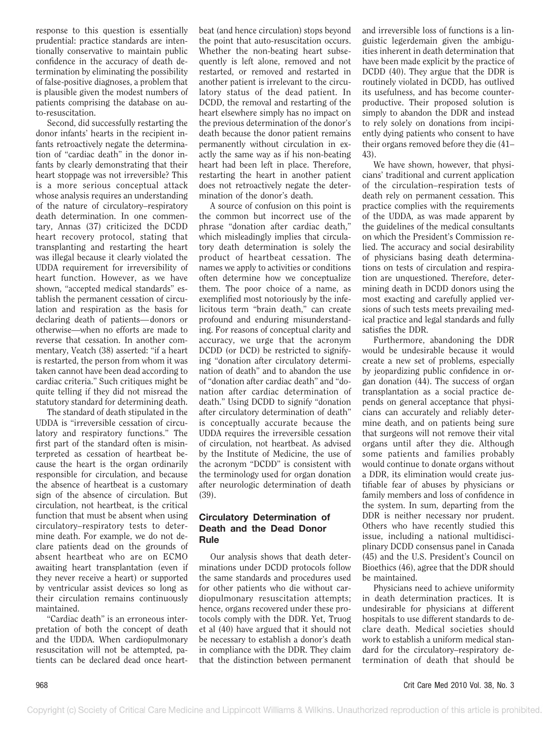response to this question is essentially prudential: practice standards are intentionally conservative to maintain public confidence in the accuracy of death determination by eliminating the possibility of false-positive diagnoses, a problem that is plausible given the modest numbers of patients comprising the database on auto-resuscitation.

Second, did successfully restarting the donor infants' hearts in the recipient infants retroactively negate the determination of "cardiac death" in the donor infants by clearly demonstrating that their heart stoppage was not irreversible? This is a more serious conceptual attack whose analysis requires an understanding of the nature of circulatory–respiratory death determination. In one commentary, Annas (37) criticized the DCDD heart recovery protocol, stating that transplanting and restarting the heart was illegal because it clearly violated the UDDA requirement for irreversibility of heart function. However, as we have shown, "accepted medical standards" establish the permanent cessation of circulation and respiration as the basis for declaring death of patients—donors or otherwise—when no efforts are made to reverse that cessation. In another commentary, Veatch (38) asserted: "if a heart is restarted, the person from whom it was taken cannot have been dead according to cardiac criteria." Such critiques might be quite telling if they did not misread the statutory standard for determining death.

The standard of death stipulated in the UDDA is "irreversible cessation of circulatory and respiratory functions." The first part of the standard often is misinterpreted as cessation of heartbeat because the heart is the organ ordinarily responsible for circulation, and because the absence of heartbeat is a customary sign of the absence of circulation. But circulation, not heartbeat, is the critical function that must be absent when using circulatory–respiratory tests to determine death. For example, we do not declare patients dead on the grounds of absent heartbeat who are on ECMO awaiting heart transplantation (even if they never receive a heart) or supported by ventricular assist devices so long as their circulation remains continuously maintained.

"Cardiac death" is an erroneous interpretation of both the concept of death and the UDDA. When cardiopulmonary resuscitation will not be attempted, patients can be declared dead once heart-

beat (and hence circulation) stops beyond the point that auto-resuscitation occurs. Whether the non-beating heart subsequently is left alone, removed and not restarted, or removed and restarted in another patient is irrelevant to the circulatory status of the dead patient. In DCDD, the removal and restarting of the heart elsewhere simply has no impact on the previous determination of the donor's death because the donor patient remains permanently without circulation in exactly the same way as if his non-beating heart had been left in place. Therefore, restarting the heart in another patient does not retroactively negate the determination of the donor's death.

A source of confusion on this point is the common but incorrect use of the phrase "donation after cardiac death," which misleadingly implies that circulatory death determination is solely the product of heartbeat cessation. The names we apply to activities or conditions often determine how we conceptualize them. The poor choice of a name, as exemplified most notoriously by the infelicitous term "brain death," can create profound and enduring misunderstanding. For reasons of conceptual clarity and accuracy, we urge that the acronym DCDD (or DCD) be restricted to signifying "donation after circulatory determination of death" and to abandon the use of "donation after cardiac death" and "donation after cardiac determination of death." Using DCDD to signify "donation after circulatory determination of death" is conceptually accurate because the UDDA requires the irreversible cessation of circulation, not heartbeat. As advised by the Institute of Medicine, the use of the acronym "DCDD" is consistent with the terminology used for organ donation after neurologic determination of death (39).

# **Circulatory Determination of Death and the Dead Donor Rule**

Our analysis shows that death determinations under DCDD protocols follow the same standards and procedures used for other patients who die without cardiopulmonary resuscitation attempts; hence, organs recovered under these protocols comply with the DDR. Yet, Truog et al (40) have argued that it should not be necessary to establish a donor's death in compliance with the DDR. They claim that the distinction between permanent and irreversible loss of functions is a linguistic legerdemain given the ambiguities inherent in death determination that have been made explicit by the practice of DCDD (40). They argue that the DDR is routinely violated in DCDD, has outlived its usefulness, and has become counterproductive. Their proposed solution is simply to abandon the DDR and instead to rely solely on donations from incipiently dying patients who consent to have their organs removed before they die (41– 43).

We have shown, however, that physicians' traditional and current application of the circulation–respiration tests of death rely on permanent cessation. This practice complies with the requirements of the UDDA, as was made apparent by the guidelines of the medical consultants on which the President's Commission relied. The accuracy and social desirability of physicians basing death determinations on tests of circulation and respiration are unquestioned. Therefore, determining death in DCDD donors using the most exacting and carefully applied versions of such tests meets prevailing medical practice and legal standards and fully satisfies the DDR.

Furthermore, abandoning the DDR would be undesirable because it would create a new set of problems, especially by jeopardizing public confidence in organ donation (44). The success of organ transplantation as a social practice depends on general acceptance that physicians can accurately and reliably determine death, and on patients being sure that surgeons will not remove their vital organs until after they die. Although some patients and families probably would continue to donate organs without a DDR, its elimination would create justifiable fear of abuses by physicians or family members and loss of confidence in the system. In sum, departing from the DDR is neither necessary nor prudent. Others who have recently studied this issue, including a national multidisciplinary DCDD consensus panel in Canada (45) and the U.S. President's Council on Bioethics (46), agree that the DDR should be maintained.

Physicians need to achieve uniformity in death determination practices. It is undesirable for physicians at different hospitals to use different standards to declare death. Medical societies should work to establish a uniform medical standard for the circulatory–respiratory determination of death that should be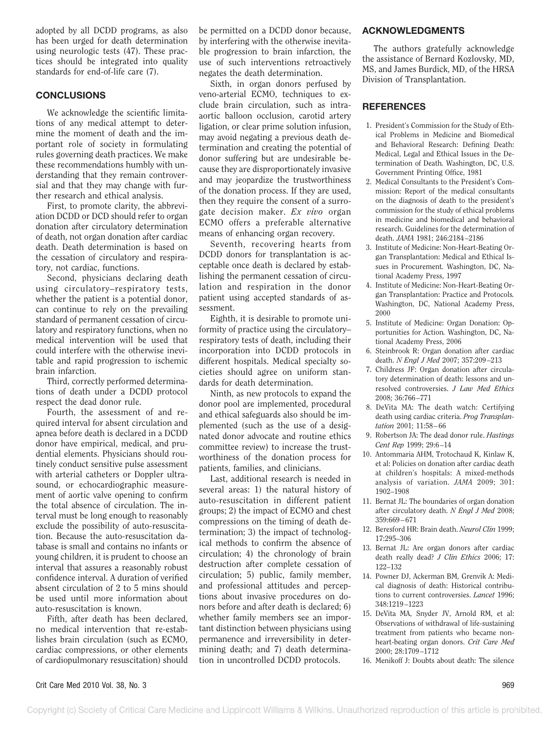adopted by all DCDD programs, as also has been urged for death determination using neurologic tests (47). These practices should be integrated into quality standards for end-of-life care (7).

#### **CONCLUSIONS**

We acknowledge the scientific limitations of any medical attempt to determine the moment of death and the important role of society in formulating rules governing death practices. We make these recommendations humbly with understanding that they remain controversial and that they may change with further research and ethical analysis.

First, to promote clarity, the abbreviation DCDD or DCD should refer to organ donation after circulatory determination of death, not organ donation after cardiac death. Death determination is based on the cessation of circulatory and respiratory, not cardiac, functions.

Second, physicians declaring death using circulatory–respiratory tests, whether the patient is a potential donor, can continue to rely on the prevailing standard of permanent cessation of circulatory and respiratory functions, when no medical intervention will be used that could interfere with the otherwise inevitable and rapid progression to ischemic brain infarction.

Third, correctly performed determinations of death under a DCDD protocol respect the dead donor rule.

Fourth, the assessment of and required interval for absent circulation and apnea before death is declared in a DCDD donor have empirical, medical, and prudential elements. Physicians should routinely conduct sensitive pulse assessment with arterial catheters or Doppler ultrasound, or echocardiographic measurement of aortic valve opening to confirm the total absence of circulation. The interval must be long enough to reasonably exclude the possibility of auto-resuscitation. Because the auto-resuscitation database is small and contains no infants or young children, it is prudent to choose an interval that assures a reasonably robust confidence interval. A duration of verified absent circulation of 2 to 5 mins should be used until more information about auto-resuscitation is known.

Fifth, after death has been declared, no medical intervention that re-establishes brain circulation (such as ECMO, cardiac compressions, or other elements of cardiopulmonary resuscitation) should be permitted on a DCDD donor because, by interfering with the otherwise inevitable progression to brain infarction, the use of such interventions retroactively negates the death determination.

Sixth, in organ donors perfused by veno-arterial ECMO, techniques to exclude brain circulation, such as intraaortic balloon occlusion, carotid artery ligation, or clear prime solution infusion, may avoid negating a previous death determination and creating the potential of donor suffering but are undesirable because they are disproportionately invasive and may jeopardize the trustworthiness of the donation process. If they are used, then they require the consent of a surrogate decision maker. *Ex vivo* organ ECMO offers a preferable alternative means of enhancing organ recovery.

Seventh, recovering hearts from DCDD donors for transplantation is acceptable once death is declared by establishing the permanent cessation of circulation and respiration in the donor patient using accepted standards of assessment.

Eighth, it is desirable to promote uniformity of practice using the circulatory– respiratory tests of death, including their incorporation into DCDD protocols in different hospitals. Medical specialty societies should agree on uniform standards for death determination.

Ninth, as new protocols to expand the donor pool are implemented, procedural and ethical safeguards also should be implemented (such as the use of a designated donor advocate and routine ethics committee review) to increase the trustworthiness of the donation process for patients, families, and clinicians.

Last, additional research is needed in several areas: 1) the natural history of auto-resuscitation in different patient groups; 2) the impact of ECMO and chest compressions on the timing of death determination; 3) the impact of technological methods to confirm the absence of circulation; 4) the chronology of brain destruction after complete cessation of circulation; 5) public, family member, and professional attitudes and perceptions about invasive procedures on donors before and after death is declared; 6) whether family members see an important distinction between physicians using permanence and irreversibility in determining death; and 7) death determination in uncontrolled DCDD protocols.

#### **ACKNOWLEDGMENTS**

The authors gratefully acknowledge the assistance of Bernard Kozlovsky, MD, MS, and James Burdick, MD, of the HRSA Division of Transplantation.

#### **REFERENCES**

- 1. President's Commission for the Study of Ethical Problems in Medicine and Biomedical and Behavioral Research: Defining Death: Medical, Legal and Ethical Issues in the Determination of Death*.* Washington, DC, U.S. Government Printing Office, 1981
- 2. Medical Consultants to the President's Commission: Report of the medical consultants on the diagnosis of death to the president's commission for the study of ethical problems in medicine and biomedical and behavioral research. Guidelines for the determination of death. *JAMA* 1981; 246:2184–2186
- 3. Institute of Medicine: Non-Heart-Beating Organ Transplantation: Medical and Ethical Issues in Procurement*.* Washington, DC, National Academy Press, 1997
- 4. Institute of Medicine: Non-Heart-Beating Organ Transplantation: Practice and Protocols*.* Washington, DC, National Academy Press, 2000
- 5. Institute of Medicine: Organ Donation: Opportunities for Action*.* Washington, DC, National Academy Press, 2006
- 6. Steinbrook R: Organ donation after cardiac death. *N Engl J Med* 2007; 357:209–213
- 7. Childress JF: Organ donation after circulatory determination of death: lessons and unresolved controversies. *J Law Med Ethics* 2008; 36:766–771
- 8. DeVita MA: The death watch: Certifying death using cardiac criteria. *Prog Transplantation* 2001; 11:58–66
- 9. Robertson JA: The dead donor rule. *Hastings Cent Rep* 1999; 29:6–14
- 10. Antommaria AHM, Trotochaud K, Kinlaw K, et al: Policies on donation after cardiac death at children's hospitals: A mixed-methods analysis of variation. *JAMA* 2009; 301: 1902–1908
- 11. Bernat JL: The boundaries of organ donation after circulatory death. *N Engl J Med* 2008; 359:669–671
- 12. Beresford HR: Brain death. *Neurol Clin* 1999; 17:295–306
- 13. Bernat JL: Are organ donors after cardiac death really dead? *J Clin Ethics* 2006; 17: 122–132
- 14. Powner DJ, Ackerman BM, Grenvik A: Medical diagnosis of death: Historical contributions to current controversies. *Lancet* 1996; 348:1219–1223
- 15. DeVita MA, Snyder JV, Arnold RM, et al: Observations of withdrawal of life-sustaining treatment from patients who became nonheart-beating organ donors. *Crit Care Med* 2000; 28:1709–1712
- 16. Menikoff J: Doubts about death: The silence